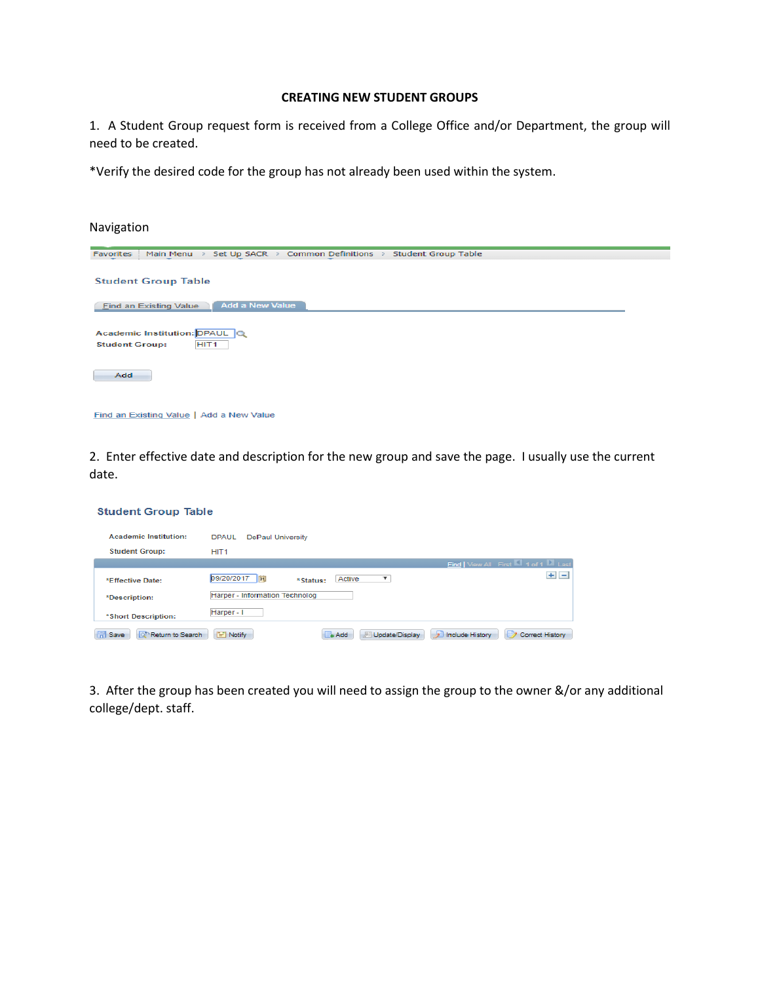## **CREATING NEW STUDENT GROUPS**

1. A Student Group request form is received from a College Office and/or Department, the group will need to be created.

\*Verify the desired code for the group has not already been used within the system.

| Navigation                                                                            |
|---------------------------------------------------------------------------------------|
| Common Definitions > Student Group Table<br>> Set Up SACR ><br>Favorites<br>Main Menu |
| <b>Student Group Table</b>                                                            |
| <b>Add a New Value</b><br><b>Find an Existing Value</b>                               |
| Academic Institution: DPAUL Q<br>HIT <sub>1</sub><br><b>Student Group:</b>            |
| Add                                                                                   |
| Find an Existing Value   Add a New Value                                              |

2. Enter effective date and description for the new group and save the page. I usually use the current date.

| <b>Student Group Table</b>           |                                                                                  |
|--------------------------------------|----------------------------------------------------------------------------------|
| <b>Academic Institution:</b>         | <b>DPAUL</b><br><b>DePaul University</b>                                         |
| <b>Student Group:</b>                | HIT <sub>1</sub>                                                                 |
|                                      | Find   View All First 4 of 1 2 Last                                              |
| *Effective Date:                     | $+$ $-$<br>09/20/2017<br>31<br>▼<br>Active<br>*Status:                           |
| *Description:                        | Harper - Information Technolog                                                   |
| *Short Description:                  | Harper - I                                                                       |
| <b>F</b> Save<br>of Return to Search | Notify<br>Update/Display<br>1 ک<br>Include History<br>Correct History<br>$+$ Add |

3. After the group has been created you will need to assign the group to the owner &/or any additional college/dept. staff.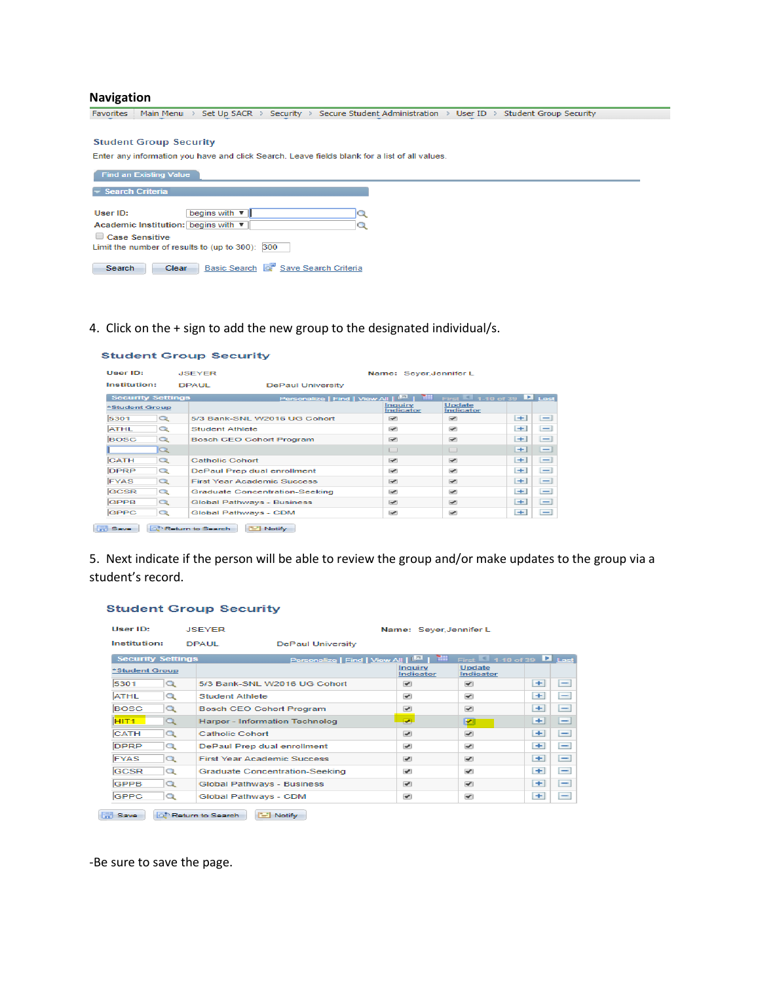### **Navigation**

Favorites | Main Menu > Set Up SACR > Security > Secure Student Administration > User ID > Student Group Security

### **Student Group Security**

Enter any information you have and click Search. Leave fields blank for a list of all values.

| <b>Find an Existing Value</b>                                                                                                              |
|--------------------------------------------------------------------------------------------------------------------------------------------|
| $\overline{\phantom{a}}$ Search Criteria                                                                                                   |
| begins with $\Psi$<br>User ID:<br>Academic Institution: begins with ▼<br>Case Sensitive<br>Limit the number of results to (up to 300): 300 |
| Basic Search <b>Q</b> Save Search Criteria<br>Clear<br><b>Search</b>                                                                       |

## 4. Click on the + sign to add the new group to the designated individual/s.

| User ID:                 | <b>JSEYER</b>                      |                                                   | Name: Seyer, Jennifer L  |                                                    |      |                          |
|--------------------------|------------------------------------|---------------------------------------------------|--------------------------|----------------------------------------------------|------|--------------------------|
| Institution:             | <b>DPAUL</b>                       | <b>DePaul University</b>                          |                          |                                                    |      |                          |
| <b>Security Settings</b> |                                    | Personalize   Find   View All   <b>ELL</b>   TILL |                          | First $\blacksquare$ 1-10 of 39 $\backsquare$ Last |      |                          |
| *Student Group           |                                    |                                                   | Inauirv<br>Indicator     | <b>Update</b><br>Indicator                         |      |                          |
| 5301<br>Q                |                                    | 5/3 Bank-SNL W2016 UG Cohort                      | $\overline{\phantom{0}}$ | $\overline{\phantom{0}}$                           | $+1$ | $\qquad \qquad -$        |
| <b>ATHL</b><br>Q         | Student Athlete                    |                                                   | $\overline{\phantom{a}}$ | $\overline{\phantom{a}}$                           | $+1$ | $\qquad \qquad$          |
| <b>BOSC</b><br>$\circ$   | <b>Bosch CEO Cohort Program</b>    |                                                   | $\overline{\phantom{a}}$ | $\overline{\phantom{0}}$                           | $+1$ | $-\mathbf{I}$            |
| $\alpha$                 |                                    |                                                   | ◡                        |                                                    | $+$  | $\qquad \qquad$          |
| <b>CATH</b><br>$\circ$   | Catholic Cohort                    |                                                   | $\overline{\phantom{a}}$ | $\overline{\phantom{a}}$                           | $+1$ | $-1$                     |
| <b>DPRP</b><br>Q         | DePaul Prep dual enrollment        |                                                   | $\overline{\phantom{0}}$ | $\overline{\phantom{0}}$                           | $+$  | $\qquad \qquad$          |
| Q<br><b>FYAS</b>         | <b>First Year Academic Success</b> |                                                   | $\overline{\phantom{a}}$ | $\overline{\phantom{a}}$                           | $+1$ | $\overline{\phantom{0}}$ |
| <b>GCSR</b><br>Q         |                                    | <b>Graduate Concentration-Seeking</b>             | $\overline{\phantom{a}}$ | $\overline{\phantom{a}}$                           | $+1$ | $-$                      |
| <b>GPPB</b><br>Q         | <b>Global Pathways - Business</b>  |                                                   | $\overline{\phantom{a}}$ | $\overline{\phantom{a}}$                           | $+1$ | $-\mathbf{I}$            |
| <b>GPPC</b><br>Q         | Global Pathways - CDM              |                                                   | $\overline{\phantom{a}}$ | $\overline{\phantom{0}}$                           | $+1$ | $\overline{\phantom{a}}$ |

Save Q<sup>+</sup> Return to Search E Notify

**Student Group Security** 

5. Next indicate if the person will be able to review the group and/or make updates to the group via a student's record.

### **Student Group Security**

| User ID:                 |          | <b>JSEYER</b>                            | Name: Sever, Jennifer L. |                                                     |           |                          |  |
|--------------------------|----------|------------------------------------------|--------------------------|-----------------------------------------------------|-----------|--------------------------|--|
| Institution:             |          | <b>DPAUL</b><br><b>DePaul University</b> |                          |                                                     |           |                          |  |
| <b>Security Settings</b> |          | Personalize   Find   View All   E   Till |                          | First $\blacksquare$ 1-10 of 39 $\blacksquare$ Last |           |                          |  |
| *Student Group           |          |                                          | Inauiry<br>Indicator     | <b>Update</b><br>Indicator                          |           |                          |  |
| 5301                     | Q        | 5/3 Bank-SNL W2016 UG Cohort             | $\overline{\phantom{a}}$ | $\overline{\phantom{a}}$                            | $+1$      | -                        |  |
| <b>ATHL</b>              | Q        | Student Athlete                          | $\overline{\phantom{a}}$ | $\overline{\phantom{a}}$                            | $+$       | -                        |  |
| <b>BOSC</b>              | $\alpha$ | <b>Bosch CEO Cohort Program</b>          | $\overline{\mathscr{L}}$ | $\overline{\phantom{a}}$                            | $+1$      | -                        |  |
| HIT <sub>1</sub>         | Q        | Harper - Information Technolog           | $\overline{\phantom{a}}$ | ◛                                                   | $\ddot{}$ | -                        |  |
| <b>CATH</b>              | $\alpha$ | Catholic Cohort                          | $\overline{\phantom{a}}$ | $\overline{\phantom{0}}$                            | $+$       | $-1$                     |  |
| <b>DPRP</b>              | Q        | DePaul Prep dual enrollment              | $\overline{\phantom{a}}$ | $\overline{\phantom{a}}$                            | $+$       | -                        |  |
| <b>FYAS</b>              | $\alpha$ | <b>First Year Academic Success</b>       | $\overline{\phantom{a}}$ | $\overline{\phantom{a}}$                            | $+$       | $\overline{\phantom{0}}$ |  |
| <b>GCSR</b>              | Q        | <b>Graduate Concentration-Seeking</b>    | $\overline{\phantom{a}}$ | $\overline{\phantom{a}}$                            | $+$       | $\overline{\phantom{0}}$ |  |
| <b>GPPB</b>              | Q        | <b>Global Pathways - Business</b>        | $\overline{\phantom{a}}$ | $\overline{\phantom{a}}$                            | $+1$      | $\overline{\phantom{0}}$ |  |
| <b>GPPC</b>              | Q        | Global Pathways - CDM                    | $\overline{\phantom{a}}$ | $\overline{\phantom{a}}$                            | $+1$      | -                        |  |
|                          |          |                                          |                          |                                                     |           |                          |  |

Save Q<sup>+</sup> Return to Search [F] Notify

-Be sure to save the page.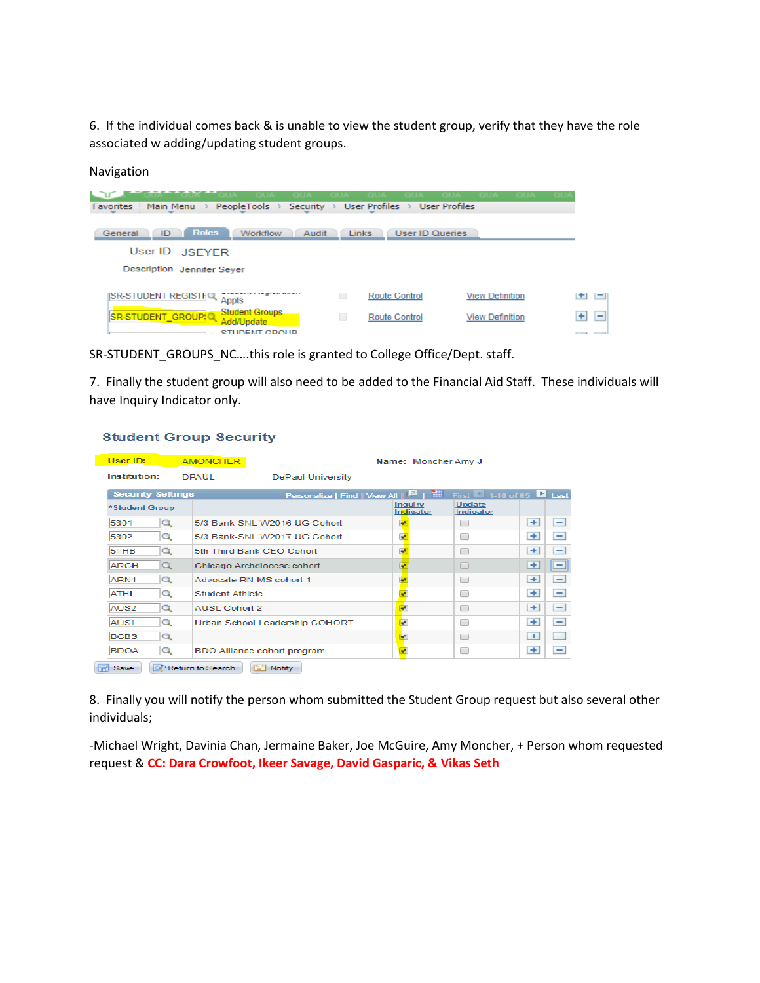6. If the individual comes back & is unable to view the student group, verify that they have the role associated w adding/updating student groups.

## Navigation

| PeopleTools ><br><b>Favorites</b><br>Security $\rightarrow$<br>Main Menu >            |   | -OUZ<br>User Profiles >                | <b>User Profiles</b>   |        |
|---------------------------------------------------------------------------------------|---|----------------------------------------|------------------------|--------|
| <b>Roles</b><br><b>Workflow</b><br>General<br>Audit<br>ID<br>User ID<br><b>JSEYER</b> |   | <b>Links</b><br><b>User ID Queries</b> |                        |        |
| Description Jennifer Seyer                                                            |   |                                        |                        |        |
| ISR-STUDENT REGISTING<br>Appts                                                        | U | <b>Route Control</b>                   | <b>View Definition</b> | ÷<br>二 |
| <b>Student Groups</b><br>SR-STUDENT_GROUP(Q<br>Add/Update<br>STUDENT CROUD            | u | Route Control                          | <b>View Definition</b> | ÷<br>Ξ |

SR-STUDENT\_GROUPS\_NC….this role is granted to College Office/Dept. staff.

7. Finally the student group will also need to be added to the Financial Aid Staff. These individuals will have Inquiry Indicator only.

# **Student Group Security**

| <b>Security Settings</b> | <b>DPAUL</b>                                   |                                       | <b>DePaul University</b>                                |                                                                                                                                                                                                                            |                             |                   |                                                     |              |                          |
|--------------------------|------------------------------------------------|---------------------------------------|---------------------------------------------------------|----------------------------------------------------------------------------------------------------------------------------------------------------------------------------------------------------------------------------|-----------------------------|-------------------|-----------------------------------------------------|--------------|--------------------------|
|                          |                                                |                                       |                                                         |                                                                                                                                                                                                                            |                             |                   |                                                     |              |                          |
|                          |                                                |                                       | Personalize   Find   View All   <b>Ed</b>   <b>Hill</b> |                                                                                                                                                                                                                            |                             |                   | First $\blacksquare$ 1-10 of 65 $\blacksquare$ Last |              |                          |
| *Student Group           |                                                |                                       |                                                         |                                                                                                                                                                                                                            | <b>Inquiry</b><br>Indicator |                   | <b>Update</b><br>Indicator                          |              |                          |
|                          |                                                |                                       |                                                         |                                                                                                                                                                                                                            |                             |                   | □                                                   | $\leftarrow$ | -                        |
|                          |                                                |                                       |                                                         |                                                                                                                                                                                                                            |                             |                   | □                                                   | $\ddot{}$    | $\overline{\phantom{0}}$ |
|                          |                                                |                                       |                                                         |                                                                                                                                                                                                                            |                             |                   | o                                                   | ÷            | -                        |
|                          |                                                |                                       |                                                         |                                                                                                                                                                                                                            |                             |                   | □                                                   | ÷            | ▭                        |
|                          |                                                |                                       |                                                         |                                                                                                                                                                                                                            |                             |                   | L.                                                  | ÷            | -                        |
|                          |                                                |                                       |                                                         |                                                                                                                                                                                                                            |                             |                   | n                                                   | $+$          | -                        |
|                          |                                                |                                       |                                                         |                                                                                                                                                                                                                            |                             |                   | 0                                                   | ÷            | -                        |
|                          |                                                |                                       |                                                         |                                                                                                                                                                                                                            |                             |                   | □                                                   | $\leftarrow$ | -                        |
|                          |                                                |                                       |                                                         |                                                                                                                                                                                                                            |                             |                   | $\Box$                                              | ÷            | -                        |
|                          |                                                |                                       |                                                         |                                                                                                                                                                                                                            |                             |                   | o                                                   | $+$          | -                        |
|                          | Q<br>Q<br>Q<br>Q<br>Q<br>Q<br>Q<br>Q<br>Q<br>Q | <b>O<sup>h</sup> Return to Search</b> | Student Athlete<br>AUSL Cohort 2<br>$F =$ Notify        | 5/3 Bank-SNL W2016 UG Cohort<br>5/3 Bank-SNL W2017 UG Cohort<br>5th Third Bank CEO Cohort<br>Chicago Archdiocese cohort<br>Advocate RN-MS cohort 1<br>Urban School Leadership COHORT<br><b>BDO Alliance cohort program</b> |                             | ø<br>U<br>⊵<br>G. |                                                     |              |                          |

8. Finally you will notify the person whom submitted the Student Group request but also several other individuals;

-Michael Wright, Davinia Chan, Jermaine Baker, Joe McGuire, Amy Moncher, + Person whom requested request & **CC: Dara Crowfoot, Ikeer Savage, David Gasparic, & Vikas Seth**